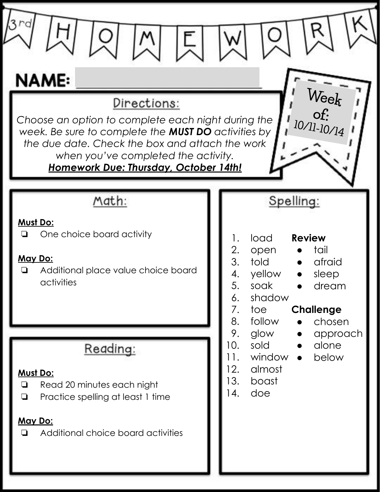| <b>NAME:</b><br>Directions:<br>Choose an option to complete each night during the<br>week. Be sure to complete the <b>MUST DO</b> activities by<br>the due date. Check the box and attach the work<br>when you've completed the activity.<br><b>Homework Due: Thursday, October 14th!</b> | $W$ ee $\frac{k}{\mathrm{of}}$ :<br>10/11-10/14                                                                                                                                                                                |
|-------------------------------------------------------------------------------------------------------------------------------------------------------------------------------------------------------------------------------------------------------------------------------------------|--------------------------------------------------------------------------------------------------------------------------------------------------------------------------------------------------------------------------------|
| Math:<br>Must Do:<br>One choice board activity<br>❏<br>May Do:<br>Additional place value choice board<br>$\Box$<br>activities                                                                                                                                                             | Spelling:<br>load<br><b>Review</b><br>1.<br>2.<br>tail<br>open<br>3.<br>told<br>afraid<br>yellow<br>4.<br>sleep<br>5.<br>soak<br>dream<br>6.<br>shadow<br>7.<br><b>Challenge</b><br>toe<br>8.<br>follow<br>chosen<br>$\bullet$ |
| Reading:<br>Must Do:<br>Read 20 minutes each night<br>$\Box$<br>Practice spelling at least 1 time<br>$\Box$<br>May Do:<br>Additional choice board activities<br>❏                                                                                                                         | 9.<br>glow<br>approach<br>$\bullet$<br>10.<br>sold<br>alone<br>$\bullet$<br>window •<br>11.<br>below<br>12.<br>almost<br>13.<br>boast<br> 4.<br>doe                                                                            |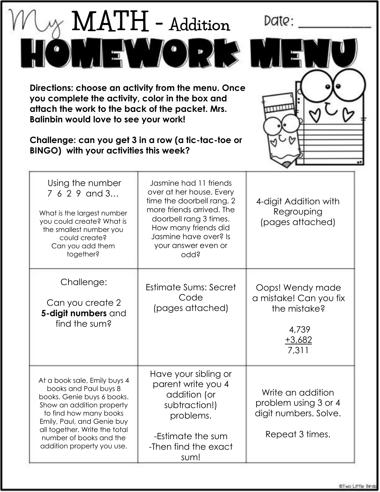|                                                                                                                                                                                                                                                                    | MATH - Addition                                                                                                                                                                                                        | Date:                                                                                    |
|--------------------------------------------------------------------------------------------------------------------------------------------------------------------------------------------------------------------------------------------------------------------|------------------------------------------------------------------------------------------------------------------------------------------------------------------------------------------------------------------------|------------------------------------------------------------------------------------------|
|                                                                                                                                                                                                                                                                    | $\mathbf{C}$                                                                                                                                                                                                           |                                                                                          |
| Directions: choose an activity from the menu. Once<br>you complete the activity, color in the box and<br>attach the work to the back of the packet. Mrs.<br>Balinbin would love to see your work!                                                                  |                                                                                                                                                                                                                        |                                                                                          |
| Challenge: can you get 3 in a row (a tic-tac-toe or<br>BINGO) with your activities this week?                                                                                                                                                                      |                                                                                                                                                                                                                        |                                                                                          |
| Using the number<br>7 6 2 9 and 3<br>What is the largest number<br>you could create? What is<br>the smallest number you<br>could create?<br>Can you add them<br>together?                                                                                          | Jasmine had 11 friends<br>over at her house. Every<br>time the doorbell rang, 2<br>more friends arrived. The<br>doorbell rang 3 times.<br>How many friends did<br>Jasmine have over? Is<br>your answer even or<br>odd? | 4-digit Addition with<br>Regrouping<br>(pages attached)                                  |
| Challenge:<br>Can you create 2<br>5-digit numbers and<br>find the sum?                                                                                                                                                                                             | Estimate Sums: Secret<br>Code<br>(pages attached)                                                                                                                                                                      | Oops! Wendy made<br>a mistake! Can you fix<br>the mistake?<br>4,739<br>$+3,682$<br>7,311 |
| At a book sale, Emily buys 4<br>books and Paul buys 8<br>books. Genie buys 6 books.<br>Show an addition property<br>to find how many books<br>Emily, Paul, and Genie buy<br>all together. Write the total<br>number of books and the<br>addition property you use. | Have your sibling or<br>parent write you 4<br>addition (or<br>subtraction!)<br>problems.<br>-Estimate the sum<br>-Then find the exact<br>sum!                                                                          | Write an addition<br>problem using 3 or 4<br>digit numbers. Solve.<br>Repeat 3 times.    |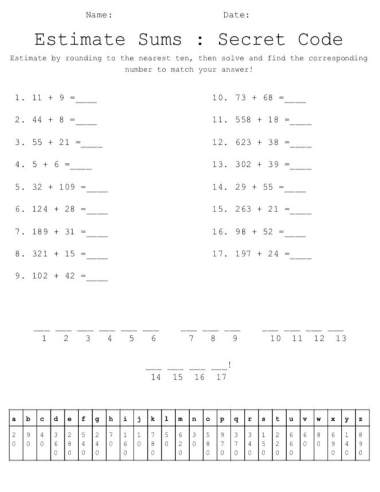Name:

Date:

## Estimate Sums : Secret Code

Estimate by rounding to the nearest ten, then solve and find the corresponding number to match your answer!

| 1. 11 + 9 = ___   | 10. 73 + 68 =    |
|-------------------|------------------|
| 2. 44 + 8 =____   | 11. 558 + 18 =   |
| 3. 55 + 21 =      | 12. $623 + 38 =$ |
| 4. 5 + 6 = ____   | 13. 302 + 39 =   |
| 5. $32 + 109 =$   | $14.29 + 55 =$   |
| 6. $124 + 28 =$   | 15. 263 + 21 =   |
| 7. $189 + 31 =$   | $16.98 + 52 =$   |
| 8. 321 + 15 = ___ | $17. 197 + 24 =$ |
| 9. $102 + 42 =$   |                  |

 $\frac{1}{1}$   $\frac{1}{2}$   $\frac{1}{3}$   $\frac{1}{4}$   $\frac{1}{5}$   $\frac{1}{6}$   $\frac{1}{7}$   $\frac{1}{8}$   $\frac{1}{9}$   $\frac{1}{10}$   $\frac{1}{11}$   $\frac{1}{12}$   $\frac{1}{13}$ 

 $\frac{1}{14}$   $\frac{1}{15}$   $\frac{1}{16}$   $\frac{1}{17}$ 

|  |  |  |  |  |  |  | $a \quad b \quad c \quad d \quad e \quad f \quad g \quad h \quad i \quad j \quad k \quad 1 \quad m \quad n \quad o \quad p \quad q \quad r \quad s \quad t \quad u \quad v \quad w \quad x \quad y \quad z \quad$ |  |  |  |  |  |  |
|--|--|--|--|--|--|--|-------------------------------------------------------------------------------------------------------------------------------------------------------------------------------------------------------------------|--|--|--|--|--|--|
|  |  |  |  |  |  |  |                                                                                                                                                                                                                   |  |  |  |  |  |  |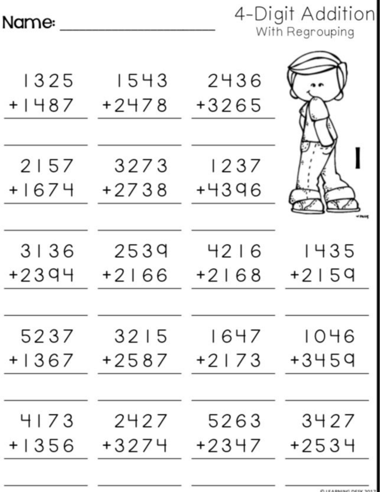## Name:

4-Digit Addition<br>With Regrouping

| 1325    | 1543    | 2436    |         |
|---------|---------|---------|---------|
| $+1487$ | $+2478$ | +3265   |         |
| 2157    | 3273    | 1237    |         |
| $+1674$ | $+2738$ | +4396   |         |
| 3136    | 2539    | 4216    | 1435    |
| $+2394$ | $+2166$ | $+2168$ | $+2159$ |
| 5237    | 3215    | 1647    | 1046    |
| $+1367$ | +2587   | $+2173$ | +3459   |
| 4173    | 2427    | 5263    | 3427    |
| $+1356$ | +3274   | $+2347$ | $+2534$ |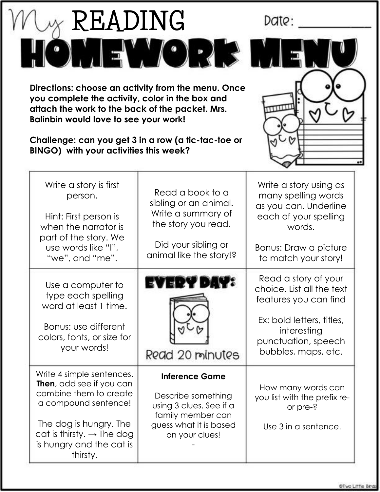| READING<br>Directions: choose an activity from the menu. Once<br>you complete the activity, color in the box and<br>attach the work to the back of the packet. Mrs.<br><b>Balinbin would love to see your work!</b><br>Challenge: can you get 3 in a row (a tic-tac-toe or<br>BINGO) with your activities this week? | $\bullet$                                                                                                                                | Date:                                                                                                                                                                |
|----------------------------------------------------------------------------------------------------------------------------------------------------------------------------------------------------------------------------------------------------------------------------------------------------------------------|------------------------------------------------------------------------------------------------------------------------------------------|----------------------------------------------------------------------------------------------------------------------------------------------------------------------|
| Write a story is first<br>person.<br>Hint: First person is<br>when the narrator is<br>part of the story. We<br>use words like "I",<br>"we", and "me".                                                                                                                                                                | Read a book to a<br>sibling or an animal.<br>Write a summary of<br>the story you read.<br>Did your sibling or<br>animal like the story!? | Write a story using as<br>many spelling words<br>as you can. Underline<br>each of your spelling<br>words.<br>Bonus: Draw a picture<br>to match your story!           |
| Use a computer to<br>type each spelling<br>word at least 1 time.<br>Bonus: use different<br>colors, fonts, or size for<br>your words!                                                                                                                                                                                | Read 20 minutes                                                                                                                          | Read a story of your<br>choice. List all the text<br>features you can find<br>Ex: bold letters, titles,<br>interesting<br>punctuation, speech<br>bubbles, maps, etc. |
| Write 4 simple sentences.<br><b>Then</b> , add see if you can<br>combine them to create<br>a compound sentence!<br>The dog is hungry. The<br>cat is thirsty. $\rightarrow$ The dog<br>is hungry and the cat is<br>thirsty.                                                                                           | <b>Inference Game</b><br>Describe something<br>using 3 clues. See if a<br>family member can<br>guess what it is based<br>on your clues!  | How many words can<br>you list with the prefix re-<br>or pre-?<br>Use 3 in a sentence.                                                                               |